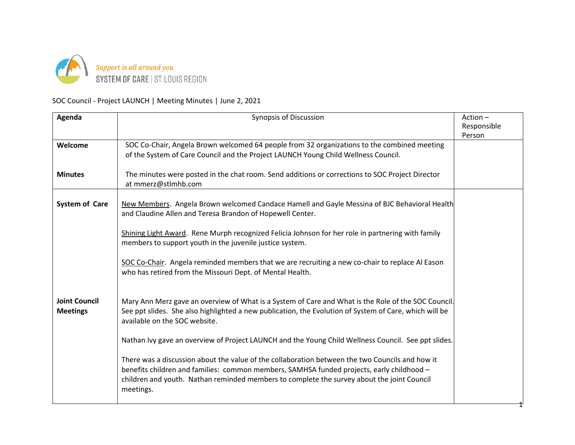

## SOC Council - Project LAUNCH | Meeting Minutes | June 2, 2021

| Agenda                                  | <b>Synopsis of Discussion</b>                                                                                                                                                                                                                                                                           | Action-<br>Responsible<br>Person |
|-----------------------------------------|---------------------------------------------------------------------------------------------------------------------------------------------------------------------------------------------------------------------------------------------------------------------------------------------------------|----------------------------------|
| Welcome                                 | SOC Co-Chair, Angela Brown welcomed 64 people from 32 organizations to the combined meeting<br>of the System of Care Council and the Project LAUNCH Young Child Wellness Council.                                                                                                                       |                                  |
| <b>Minutes</b>                          | The minutes were posted in the chat room. Send additions or corrections to SOC Project Director<br>at mmerz@stlmhb.com                                                                                                                                                                                  |                                  |
| <b>System of Care</b>                   | New Members. Angela Brown welcomed Candace Hamell and Gayle Messina of BJC Behavioral Health<br>and Claudine Allen and Teresa Brandon of Hopewell Center.                                                                                                                                               |                                  |
|                                         | Shining Light Award. Rene Murph recognized Felicia Johnson for her role in partnering with family<br>members to support youth in the juvenile justice system.                                                                                                                                           |                                  |
|                                         | SOC Co-Chair. Angela reminded members that we are recruiting a new co-chair to replace Al Eason<br>who has retired from the Missouri Dept. of Mental Health.                                                                                                                                            |                                  |
| <b>Joint Council</b><br><b>Meetings</b> | Mary Ann Merz gave an overview of What is a System of Care and What is the Role of the SOC Council.<br>See ppt slides. She also highlighted a new publication, the Evolution of System of Care, which will be<br>available on the SOC website.                                                          |                                  |
|                                         | Nathan Ivy gave an overview of Project LAUNCH and the Young Child Wellness Council. See ppt slides.                                                                                                                                                                                                     |                                  |
|                                         | There was a discussion about the value of the collaboration between the two Councils and how it<br>benefits children and families: common members, SAMHSA funded projects, early childhood -<br>children and youth. Nathan reminded members to complete the survey about the joint Council<br>meetings. |                                  |